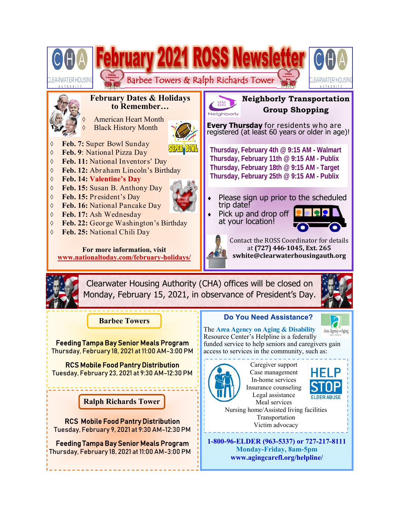